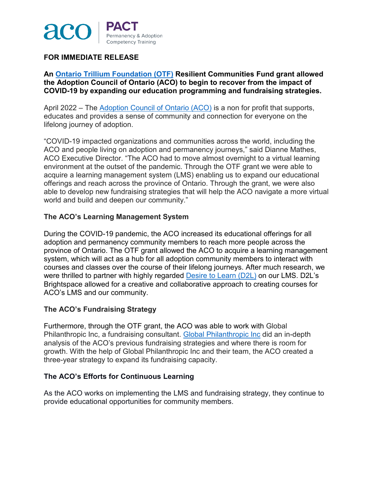

# **FOR IMMEDIATE RELEASE**

**An [Ontario Trillium Foundation \(OTF\)](https://www.otf.ca/) Resilient Communities Fund grant allowed the Adoption Council of Ontario (ACO) to begin to recover from the impact of COVID-19 by expanding our education programming and fundraising strategies.**

April 2022 – The [Adoption Council of Ontario \(ACO\)](https://www.adoption.on.ca/) is a non for profit that supports, educates and provides a sense of community and connection for everyone on the lifelong journey of adoption.

"COVID-19 impacted organizations and communities across the world, including the ACO and people living on adoption and permanency journeys," said Dianne Mathes, ACO Executive Director. "The ACO had to move almost overnight to a virtual learning environment at the outset of the pandemic. Through the OTF grant we were able to acquire a learning management system (LMS) enabling us to expand our educational offerings and reach across the province of Ontario. Through the grant, we were also able to develop new fundraising strategies that will help the ACO navigate a more virtual world and build and deepen our community."

## **The ACO's Learning Management System**

During the COVID-19 pandemic, the ACO increased its educational offerings for all adoption and permanency community members to reach more people across the province of Ontario. The OTF grant allowed the ACO to acquire a learning management system, which will act as a hub for all adoption community members to interact with courses and classes over the course of their lifelong journeys. After much research, we were thrilled to partner with highly regarded [Desire to Learn \(D2L\)](https://www.d2l.com/) on our LMS. D2L's Brightspace allowed for a creative and collaborative approach to creating courses for ACO's LMS and our community.

## **The ACO's Fundraising Strategy**

Furthermore, through the OTF grant, the ACO was able to work with Global Philanthropic Inc, a fundraising consultant. [Global Philanthropic Inc](https://globalphilanthropic.ca/) did an in-depth analysis of the ACO's previous fundraising strategies and where there is room for growth. With the help of Global Philanthropic Inc and their team, the ACO created a three-year strategy to expand its fundraising capacity.

#### **The ACO's Efforts for Continuous Learning**

As the ACO works on implementing the LMS and fundraising strategy, they continue to provide educational opportunities for community members.